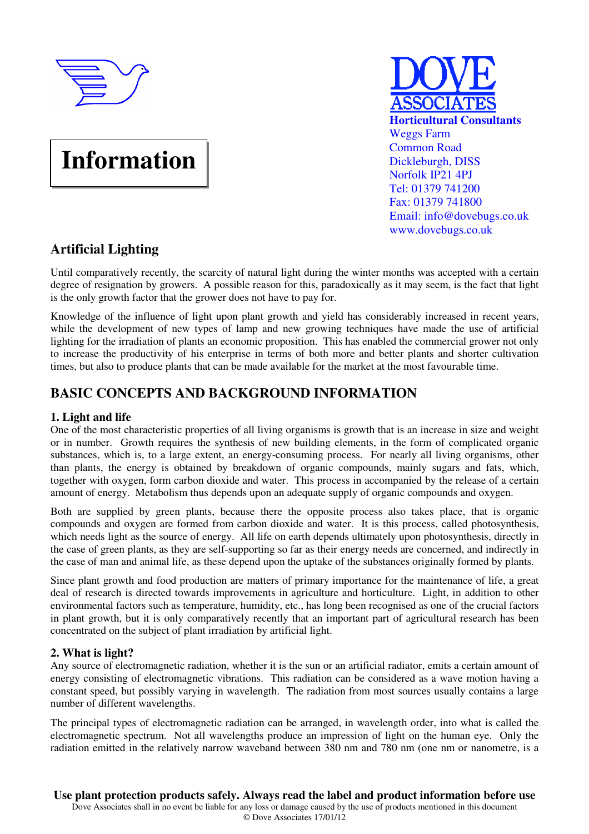

# **Information**



# **Artificial Lighting**

Until comparatively recently, the scarcity of natural light during the winter months was accepted with a certain degree of resignation by growers. A possible reason for this, paradoxically as it may seem, is the fact that light is the only growth factor that the grower does not have to pay for.

Knowledge of the influence of light upon plant growth and yield has considerably increased in recent years, while the development of new types of lamp and new growing techniques have made the use of artificial lighting for the irradiation of plants an economic proposition. This has enabled the commercial grower not only to increase the productivity of his enterprise in terms of both more and better plants and shorter cultivation times, but also to produce plants that can be made available for the market at the most favourable time.

# **BASIC CONCEPTS AND BACKGROUND INFORMATION**

### **1. Light and life**

One of the most characteristic properties of all living organisms is growth that is an increase in size and weight or in number. Growth requires the synthesis of new building elements, in the form of complicated organic substances, which is, to a large extent, an energy-consuming process. For nearly all living organisms, other than plants, the energy is obtained by breakdown of organic compounds, mainly sugars and fats, which, together with oxygen, form carbon dioxide and water. This process in accompanied by the release of a certain amount of energy. Metabolism thus depends upon an adequate supply of organic compounds and oxygen.

Both are supplied by green plants, because there the opposite process also takes place, that is organic compounds and oxygen are formed from carbon dioxide and water. It is this process, called photosynthesis, which needs light as the source of energy. All life on earth depends ultimately upon photosynthesis, directly in the case of green plants, as they are self-supporting so far as their energy needs are concerned, and indirectly in the case of man and animal life, as these depend upon the uptake of the substances originally formed by plants.

Since plant growth and food production are matters of primary importance for the maintenance of life, a great deal of research is directed towards improvements in agriculture and horticulture. Light, in addition to other environmental factors such as temperature, humidity, etc., has long been recognised as one of the crucial factors in plant growth, but it is only comparatively recently that an important part of agricultural research has been concentrated on the subject of plant irradiation by artificial light.

### **2. What is light?**

Any source of electromagnetic radiation, whether it is the sun or an artificial radiator, emits a certain amount of energy consisting of electromagnetic vibrations. This radiation can be considered as a wave motion having a constant speed, but possibly varying in wavelength. The radiation from most sources usually contains a large number of different wavelengths.

The principal types of electromagnetic radiation can be arranged, in wavelength order, into what is called the electromagnetic spectrum. Not all wavelengths produce an impression of light on the human eye. Only the radiation emitted in the relatively narrow waveband between 380 nm and 780 nm (one nm or nanometre, is a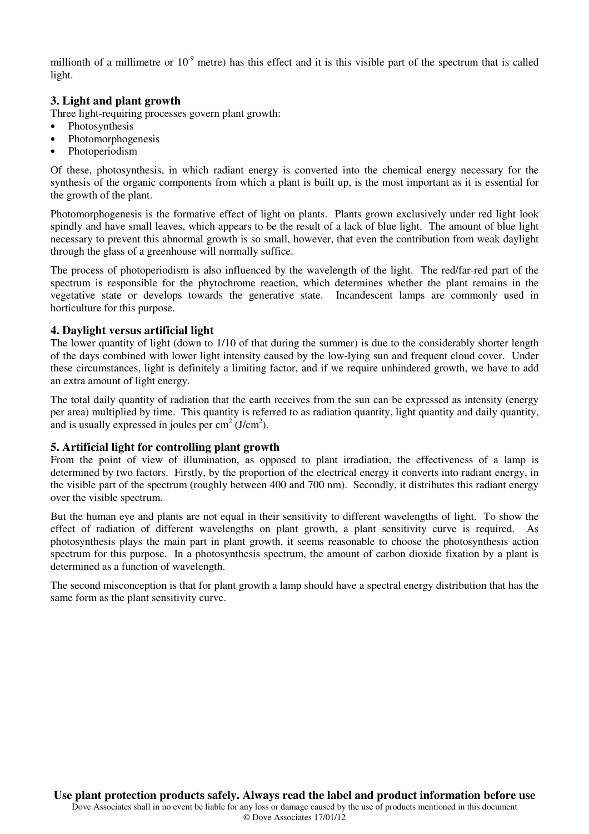millionth of a millimetre or  $10^{-9}$  metre) has this effect and it is this visible part of the spectrum that is called light.

#### **3. Light and plant growth**

Three light-requiring processes govern plant growth:

- Photosynthesis
- Photomorphogenesis
- Photoperiodism

Of these, photosynthesis, in which radiant energy is converted into the chemical energy necessary for the synthesis of the organic components from which a plant is built up, is the most important as it is essential for the growth of the plant.

Photomorphogenesis is the formative effect of light on plants. Plants grown exclusively under red light look spindly and have small leaves, which appears to be the result of a lack of blue light. The amount of blue light necessary to prevent this abnormal growth is so small, however, that even the contribution from weak daylight through the glass of a greenhouse will normally suffice.

The process of photoperiodism is also influenced by the wavelength of the light. The red/far-red part of the spectrum is responsible for the phytochrome reaction, which determines whether the plant remains in the vegetative state or develops towards the generative state. Incandescent lamps are commonly used in horticulture for this purpose.

#### **4. Daylight versus artificial light**

The lower quantity of light (down to 1/10 of that during the summer) is due to the considerably shorter length of the days combined with lower light intensity caused by the low-lying sun and frequent cloud cover. Under these circumstances, light is definitely a limiting factor, and if we require unhindered growth, we have to add an extra amount of light energy.

The total daily quantity of radiation that the earth receives from the sun can be expressed as intensity (energy per area) multiplied by time. This quantity is referred to as radiation quantity, light quantity and daily quantity, and is usually expressed in joules per  $\text{cm}^2 \text{ (J/cm}^2)$ .

#### **5. Artificial light for controlling plant growth**

From the point of view of illumination, as opposed to plant irradiation, the effectiveness of a lamp is determined by two factors. Firstly, by the proportion of the electrical energy it converts into radiant energy, in the visible part of the spectrum (roughly between 400 and 700 nm). Secondly, it distributes this radiant energy over the visible spectrum.

But the human eye and plants are not equal in their sensitivity to different wavelengths of light. To show the effect of radiation of different wavelengths on plant growth, a plant sensitivity curve is required. As photosynthesis plays the main part in plant growth, it seems reasonable to choose the photosynthesis action spectrum for this purpose. In a photosynthesis spectrum, the amount of carbon dioxide fixation by a plant is determined as a function of wavelength.

The second misconception is that for plant growth a lamp should have a spectral energy distribution that has the same form as the plant sensitivity curve.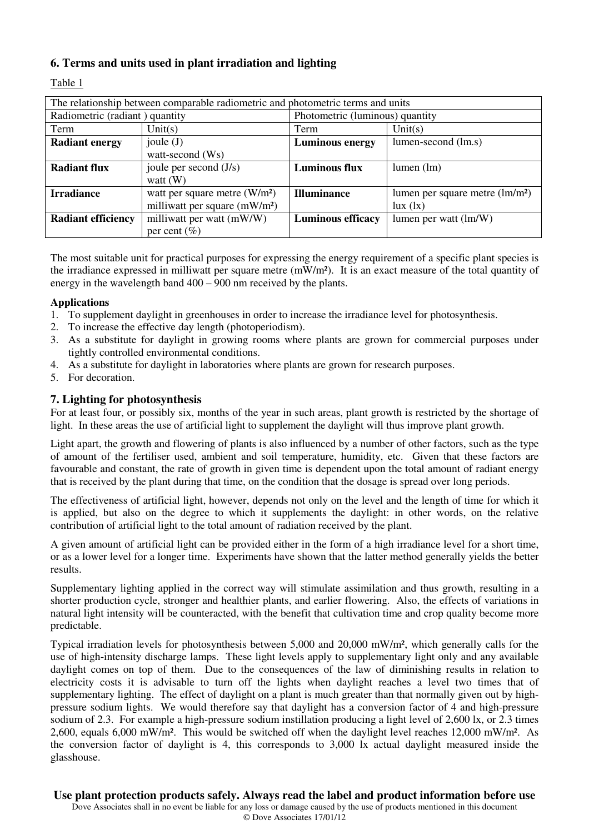### **6. Terms and units used in plant irradiation and lighting**

Table 1

| The relationship between comparable radiometric and photometric terms and units |                                           |                                 |                                  |  |
|---------------------------------------------------------------------------------|-------------------------------------------|---------------------------------|----------------------------------|--|
| Radiometric (radiant) quantity                                                  |                                           | Photometric (luminous) quantity |                                  |  |
| Term                                                                            | Unit(s)                                   | Term                            | Unit(s)                          |  |
| <b>Radiant energy</b>                                                           | joule $(J)$                               | <b>Luminous energy</b>          | lumen-second (lm.s)              |  |
|                                                                                 | watt-second (Ws)                          |                                 |                                  |  |
| <b>Radiant flux</b>                                                             | joule per second $(J/s)$                  | <b>Luminous flux</b>            | $lumen$ (lm)                     |  |
|                                                                                 | watt $(W)$                                |                                 |                                  |  |
| <b>Irradiance</b>                                                               | watt per square metre $(W/m2)$            | <b>Illuminance</b>              | lumen per square metre $(lm/m2)$ |  |
|                                                                                 | milliwatt per square (mW/m <sup>2</sup> ) |                                 | lux (lx)                         |  |
| <b>Radiant efficiency</b>                                                       | milliwatt per watt (mW/W)                 | <b>Luminous efficacy</b>        | lumen per watt (lm/W)            |  |
|                                                                                 | per cent $(\% )$                          |                                 |                                  |  |

The most suitable unit for practical purposes for expressing the energy requirement of a specific plant species is the irradiance expressed in milliwatt per square metre (mW/m²). It is an exact measure of the total quantity of energy in the wavelength band 400 – 900 nm received by the plants.

#### **Applications**

- 1. To supplement daylight in greenhouses in order to increase the irradiance level for photosynthesis.<br>2. To increase the effective day length (photoperiodism).
- 2. To increase the effective day length (photoperiodism).
- 3. As a substitute for daylight in growing rooms where plants are grown for commercial purposes under tightly controlled environmental conditions.
- 4. As a substitute for daylight in laboratories where plants are grown for research purposes.
- 5. For decoration.

#### **7. Lighting for photosynthesis**

For at least four, or possibly six, months of the year in such areas, plant growth is restricted by the shortage of light. In these areas the use of artificial light to supplement the daylight will thus improve plant growth.

Light apart, the growth and flowering of plants is also influenced by a number of other factors, such as the type of amount of the fertiliser used, ambient and soil temperature, humidity, etc. Given that these factors are favourable and constant, the rate of growth in given time is dependent upon the total amount of radiant energy that is received by the plant during that time, on the condition that the dosage is spread over long periods.

The effectiveness of artificial light, however, depends not only on the level and the length of time for which it is applied, but also on the degree to which it supplements the daylight: in other words, on the relative contribution of artificial light to the total amount of radiation received by the plant.

A given amount of artificial light can be provided either in the form of a high irradiance level for a short time, or as a lower level for a longer time. Experiments have shown that the latter method generally yields the better results.

Supplementary lighting applied in the correct way will stimulate assimilation and thus growth, resulting in a shorter production cycle, stronger and healthier plants, and earlier flowering. Also, the effects of variations in natural light intensity will be counteracted, with the benefit that cultivation time and crop quality become more predictable.

Typical irradiation levels for photosynthesis between 5,000 and 20,000 mW/m², which generally calls for the use of high-intensity discharge lamps. These light levels apply to supplementary light only and any available daylight comes on top of them. Due to the consequences of the law of diminishing results in relation to electricity costs it is advisable to turn off the lights when daylight reaches a level two times that of supplementary lighting. The effect of daylight on a plant is much greater than that normally given out by highpressure sodium lights. We would therefore say that daylight has a conversion factor of 4 and high-pressure sodium of 2.3. For example a high-pressure sodium instillation producing a light level of 2,600 lx, or 2.3 times 2,600, equals 6,000 mW/m². This would be switched off when the daylight level reaches 12,000 mW/m². As the conversion factor of daylight is 4, this corresponds to 3,000 lx actual daylight measured inside the glasshouse.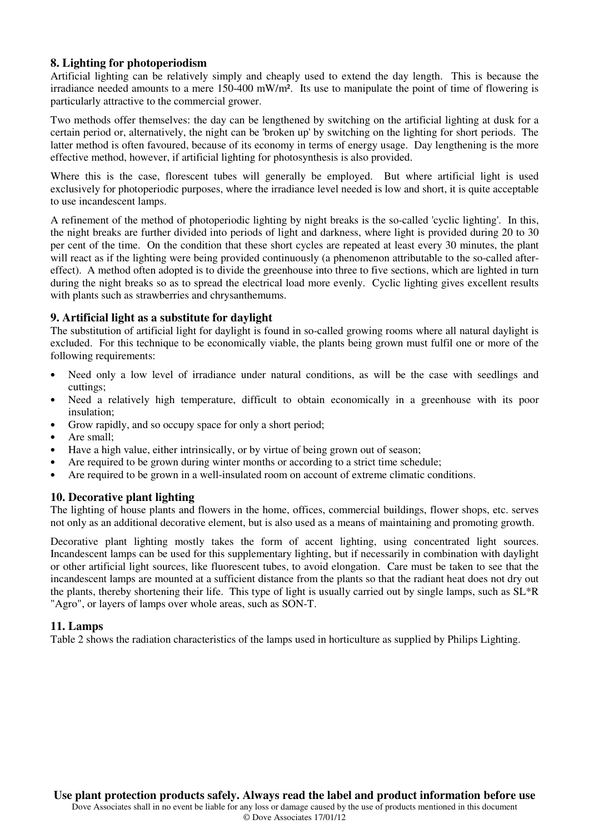#### **8. Lighting for photoperiodism**

Artificial lighting can be relatively simply and cheaply used to extend the day length. This is because the irradiance needed amounts to a mere 150-400 mW/m². Its use to manipulate the point of time of flowering is particularly attractive to the commercial grower.

Two methods offer themselves: the day can be lengthened by switching on the artificial lighting at dusk for a certain period or, alternatively, the night can be 'broken up' by switching on the lighting for short periods. The latter method is often favoured, because of its economy in terms of energy usage. Day lengthening is the more effective method, however, if artificial lighting for photosynthesis is also provided.

Where this is the case, florescent tubes will generally be employed. But where artificial light is used exclusively for photoperiodic purposes, where the irradiance level needed is low and short, it is quite acceptable to use incandescent lamps.

A refinement of the method of photoperiodic lighting by night breaks is the so-called 'cyclic lighting'. In this, the night breaks are further divided into periods of light and darkness, where light is provided during 20 to 30 per cent of the time. On the condition that these short cycles are repeated at least every 30 minutes, the plant will react as if the lighting were being provided continuously (a phenomenon attributable to the so-called aftereffect). A method often adopted is to divide the greenhouse into three to five sections, which are lighted in turn during the night breaks so as to spread the electrical load more evenly. Cyclic lighting gives excellent results with plants such as strawberries and chrysanthemums.

#### **9. Artificial light as a substitute for daylight**

The substitution of artificial light for daylight is found in so-called growing rooms where all natural daylight is excluded. For this technique to be economically viable, the plants being grown must fulfil one or more of the following requirements:

- Need only a low level of irradiance under natural conditions, as will be the case with seedlings and cuttings;
- Need a relatively high temperature, difficult to obtain economically in a greenhouse with its poor insulation;
- Grow rapidly, and so occupy space for only a short period;
- Are small:
- Have a high value, either intrinsically, or by virtue of being grown out of season;
- Are required to be grown during winter months or according to a strict time schedule;
- Are required to be grown in a well-insulated room on account of extreme climatic conditions.

### **10. Decorative plant lighting**

The lighting of house plants and flowers in the home, offices, commercial buildings, flower shops, etc. serves not only as an additional decorative element, but is also used as a means of maintaining and promoting growth.

Decorative plant lighting mostly takes the form of accent lighting, using concentrated light sources. Incandescent lamps can be used for this supplementary lighting, but if necessarily in combination with daylight or other artificial light sources, like fluorescent tubes, to avoid elongation. Care must be taken to see that the incandescent lamps are mounted at a sufficient distance from the plants so that the radiant heat does not dry out the plants, thereby shortening their life. This type of light is usually carried out by single lamps, such as  $SL^*R$ "Agro", or layers of lamps over whole areas, such as SON-T.

#### **11. Lamps**

Table 2 shows the radiation characteristics of the lamps used in horticulture as supplied by Philips Lighting.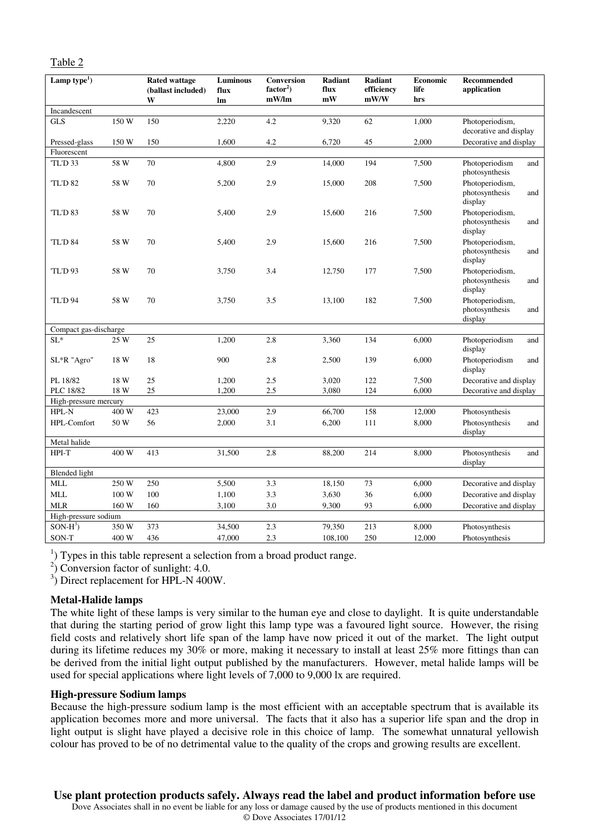| Lamp type <sup>1</sup> ) |       | <b>Rated wattage</b><br>(ballast included)<br>W | Luminous<br>flux<br>lm | Conversion<br>$factor2$ )<br>mW/Im | <b>Radiant</b><br>flux<br>mW | Radiant<br>efficiency<br>mW/W | Economic<br>life<br>hrs | Recommended<br>application                          |
|--------------------------|-------|-------------------------------------------------|------------------------|------------------------------------|------------------------------|-------------------------------|-------------------------|-----------------------------------------------------|
| Incandescent             |       |                                                 |                        |                                    |                              |                               |                         |                                                     |
| <b>GLS</b>               | 150 W | 150                                             | 2,220                  | 4.2                                | 9,320                        | 62                            | 1,000                   | Photoperiodism,<br>decorative and display           |
| Pressed-glass            | 150 W | 150                                             | 1,600                  | 4.2                                | 6,720                        | 45                            | 2,000                   | Decorative and display                              |
| Fluorescent              |       |                                                 |                        |                                    |                              |                               |                         |                                                     |
| TL'D <sub>33</sub>       | 58 W  | 70                                              | 4,800                  | 2.9                                | 14,000                       | 194                           | 7,500                   | Photoperiodism<br>and<br>photosynthesis             |
| TL'D <sub>82</sub>       | 58 W  | 70                                              | 5,200                  | 2.9                                | 15,000                       | 208                           | 7,500                   | Photoperiodism,<br>photosynthesis<br>and<br>display |
| 'TL'D 83                 | 58 W  | 70                                              | 5,400                  | 2.9                                | 15,600                       | 216                           | 7,500                   | Photoperiodism,<br>photosynthesis<br>and<br>display |
| TL'D 84                  | 58 W  | 70                                              | 5,400                  | 2.9                                | 15,600                       | 216                           | 7,500                   | Photoperiodism,<br>photosynthesis<br>and<br>display |
| <b>TL'D 93</b>           | 58 W  | 70                                              | 3,750                  | 3.4                                | 12,750                       | 177                           | 7,500                   | Photoperiodism,<br>photosynthesis<br>and<br>display |
| <b>TL'D 94</b>           | 58 W  | 70                                              | 3,750                  | 3.5                                | 13,100                       | 182                           | 7,500                   | Photoperiodism,<br>photosynthesis<br>and<br>display |
| Compact gas-discharge    |       |                                                 |                        |                                    |                              |                               |                         |                                                     |
| $SL^*$                   | 25 W  | 25                                              | 1,200                  | 2.8                                | 3,360                        | 134                           | 6,000                   | Photoperiodism<br>and<br>display                    |
| SL*R "Agro"              | 18 W  | 18                                              | 900                    | 2.8                                | 2,500                        | 139                           | 6,000                   | Photoperiodism<br>and<br>display                    |
| PL 18/82                 | 18 W  | 25                                              | 1,200                  | 2.5                                | 3,020                        | 122                           | 7,500                   | Decorative and display                              |
| PLC 18/82                | 18 W  | 25                                              | 1,200                  | 2.5                                | 3,080                        | 124                           | 6,000                   | Decorative and display                              |
| High-pressure mercury    |       |                                                 |                        |                                    |                              |                               |                         |                                                     |
| HPL-N                    | 400 W | 423                                             | 23,000                 | 2.9                                | 66,700                       | 158                           | 12,000                  | Photosynthesis                                      |
| HPL-Comfort              | 50 W  | 56                                              | 2,000                  | 3.1                                | 6,200                        | 111                           | 8,000                   | Photosynthesis<br>and<br>display                    |
| Metal halide             |       |                                                 |                        |                                    |                              |                               |                         |                                                     |
| HPI-T                    | 400 W | 413                                             | 31,500                 | 2.8                                | 88,200                       | 214                           | 8,000                   | Photosynthesis<br>and<br>display                    |
| <b>Blended</b> light     |       |                                                 |                        |                                    |                              |                               |                         |                                                     |
| <b>MLL</b>               | 250 W | 250                                             | 5,500                  | 3.3                                | 18,150                       | 73                            | 6,000                   | Decorative and display                              |
| <b>MLL</b>               | 100 W | 100                                             | 1,100                  | 3.3                                | 3,630                        | 36                            | 6,000                   | Decorative and display                              |
| <b>MLR</b>               | 160 W | 160                                             | 3,100                  | 3.0                                | 9,300                        | 93                            | 6,000                   | Decorative and display                              |
| High-pressure sodium     |       |                                                 |                        |                                    |                              |                               |                         |                                                     |
| $SON-H^3$                | 350 W | 373                                             | 34,500                 | 2.3                                | 79,350                       | 213                           | 8,000                   | Photosynthesis                                      |
| SON-T                    | 400 W | 436                                             | 47,000                 | 2.3                                | 108,100                      | 250                           | 12,000                  | Photosynthesis                                      |

<sup>1</sup>) Types in this table represent a selection from a broad product range.

2 ) Conversion factor of sunlight: 4.0.

<sup>3</sup>) Direct replacement for HPL-N 400W.

#### **Metal-Halide lamps**

The white light of these lamps is very similar to the human eye and close to daylight. It is quite understandable that during the starting period of grow light this lamp type was a favoured light source. However, the rising field costs and relatively short life span of the lamp have now priced it out of the market. The light output during its lifetime reduces my 30% or more, making it necessary to install at least 25% more fittings than can be derived from the initial light output published by the manufacturers. However, metal halide lamps will be used for special applications where light levels of 7,000 to 9,000 lx are required.

#### **High-pressure Sodium lamps**

Because the high-pressure sodium lamp is the most efficient with an acceptable spectrum that is available its application becomes more and more universal. The facts that it also has a superior life span and the drop in light output is slight have played a decisive role in this choice of lamp. The somewhat unnatural yellowish colour has proved to be of no detrimental value to the quality of the crops and growing results are excellent.

### **Use plant protection products safely. Always read the label and product information before use**

Dove Associates shall in no event be liable for any loss or damage caused by the use of products mentioned in this document © Dove Associates 17/01/12

#### Table 2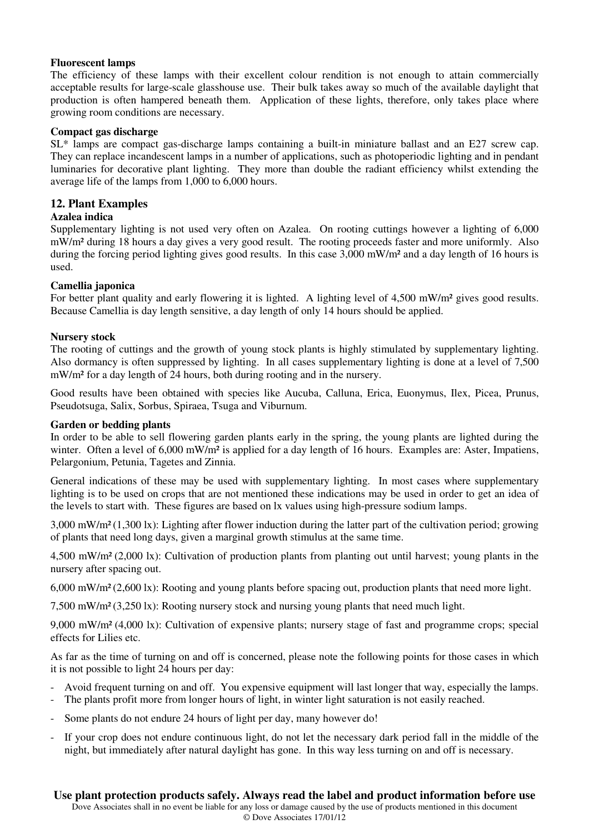#### **Fluorescent lamps**

The efficiency of these lamps with their excellent colour rendition is not enough to attain commercially acceptable results for large-scale glasshouse use. Their bulk takes away so much of the available daylight that production is often hampered beneath them. Application of these lights, therefore, only takes place where growing room conditions are necessary.

#### **Compact gas discharge**

SL\* lamps are compact gas-discharge lamps containing a built-in miniature ballast and an E27 screw cap. They can replace incandescent lamps in a number of applications, such as photoperiodic lighting and in pendant luminaries for decorative plant lighting. They more than double the radiant efficiency whilst extending the average life of the lamps from 1,000 to 6,000 hours.

#### **12. Plant Examples**

#### **Azalea indica**

Supplementary lighting is not used very often on Azalea. On rooting cuttings however a lighting of 6,000 mW/m² during 18 hours a day gives a very good result. The rooting proceeds faster and more uniformly. Also during the forcing period lighting gives good results. In this case 3,000 mW/m² and a day length of 16 hours is used.

#### **Camellia japonica**

For better plant quality and early flowering it is lighted. A lighting level of 4,500 mW/m<sup>2</sup> gives good results. Because Camellia is day length sensitive, a day length of only 14 hours should be applied.

#### **Nursery stock**

The rooting of cuttings and the growth of young stock plants is highly stimulated by supplementary lighting. Also dormancy is often suppressed by lighting. In all cases supplementary lighting is done at a level of 7,500 mW/m² for a day length of 24 hours, both during rooting and in the nursery.

Good results have been obtained with species like Aucuba, Calluna, Erica, Euonymus, Ilex, Picea, Prunus, Pseudotsuga, Salix, Sorbus, Spiraea, Tsuga and Viburnum.

#### **Garden or bedding plants**

In order to be able to sell flowering garden plants early in the spring, the young plants are lighted during the winter. Often a level of 6,000 mW/m<sup>2</sup> is applied for a day length of 16 hours. Examples are: Aster, Impatiens, Pelargonium, Petunia, Tagetes and Zinnia.

General indications of these may be used with supplementary lighting. In most cases where supplementary lighting is to be used on crops that are not mentioned these indications may be used in order to get an idea of the levels to start with. These figures are based on lx values using high-pressure sodium lamps.

3,000 mW/m² (1,300 lx): Lighting after flower induction during the latter part of the cultivation period; growing of plants that need long days, given a marginal growth stimulus at the same time.

4,500 mW/m² (2,000 lx): Cultivation of production plants from planting out until harvest; young plants in the nursery after spacing out.

6,000 mW/m² (2,600 lx): Rooting and young plants before spacing out, production plants that need more light.

7,500 mW/m² (3,250 lx): Rooting nursery stock and nursing young plants that need much light.

9,000 mW/m² (4,000 lx): Cultivation of expensive plants; nursery stage of fast and programme crops; special effects for Lilies etc.

As far as the time of turning on and off is concerned, please note the following points for those cases in which it is not possible to light 24 hours per day:

- Avoid frequent turning on and off. You expensive equipment will last longer that way, especially the lamps.
- The plants profit more from longer hours of light, in winter light saturation is not easily reached.
- Some plants do not endure 24 hours of light per day, many however do!
- If your crop does not endure continuous light, do not let the necessary dark period fall in the middle of the night, but immediately after natural daylight has gone. In this way less turning on and off is necessary.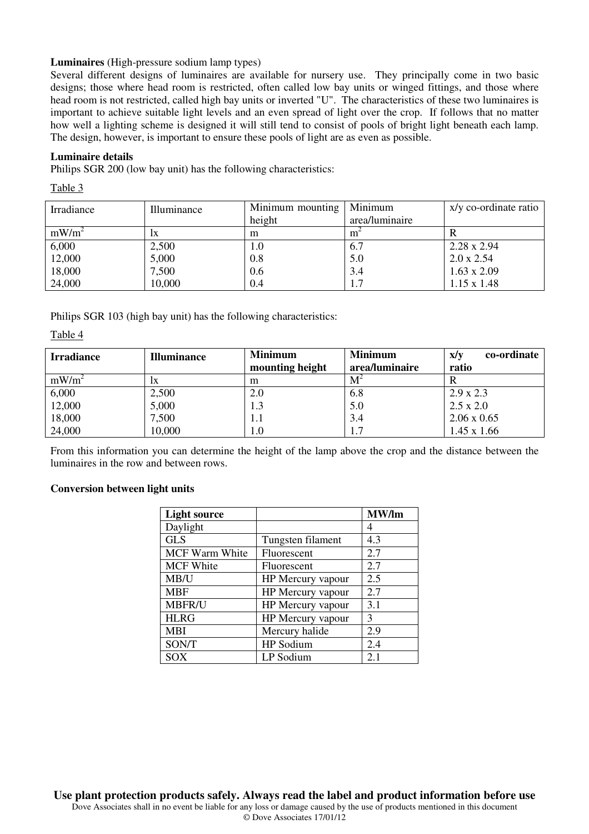#### **Luminaires** (High-pressure sodium lamp types)

Several different designs of luminaires are available for nursery use. They principally come in two basic designs; those where head room is restricted, often called low bay units or winged fittings, and those where head room is not restricted, called high bay units or inverted "U". The characteristics of these two luminaires is important to achieve suitable light levels and an even spread of light over the crop. If follows that no matter how well a lighting scheme is designed it will still tend to consist of pools of bright light beneath each lamp. The design, however, is important to ensure these pools of light are as even as possible.

#### **Luminaire details**

Philips SGR 200 (low bay unit) has the following characteristics:

Table 3

| Irradiance | Illuminance | Minimum mounting | Minimum        | x/y co-ordinate ratio |
|------------|-------------|------------------|----------------|-----------------------|
|            |             | height           | area/luminaire |                       |
| $mW/m^2$   | lХ          | m                | m              |                       |
| 6,000      | 2,500       | 1.0              | 6.7            | $2.28 \times 2.94$    |
| 12,000     | 5,000       | 0.8              | 5.0            | $2.0 \times 2.54$     |
| 18,000     | 7,500       | 0.6              | 3.4            | $1.63 \times 2.09$    |
| 24,000     | 10,000      | 0.4              | 1.7            | $1.15 \times 1.48$    |

Philips SGR 103 (high bay unit) has the following characteristics:

Table 4

| <b>Irradiance</b> | <b>Illuminance</b> | <b>Minimum</b><br>mounting height | <b>Minimum</b><br>area/luminaire | co-ordinate<br>X/V<br>ratio |
|-------------------|--------------------|-----------------------------------|----------------------------------|-----------------------------|
|                   |                    |                                   |                                  |                             |
| $mW/m^2$          | lХ                 | m                                 | M                                |                             |
| 6,000             | 2,500              | 2.0                               | 6.8                              | $2.9 \times 2.3$            |
| 12,000            | 5,000              | 1.3                               | 5.0                              | $2.5 \times 2.0$            |
| 18,000            | 7,500              | 1.1                               | 3.4                              | $2.06 \times 0.65$          |
| 24,000            | 10,000             | $_{\rm 1.0}$                      |                                  | $1.45 \times 1.66$          |

From this information you can determine the height of the lamp above the crop and the distance between the luminaires in the row and between rows.

#### **Conversion between light units**

| <b>Light source</b>   |                   | MW/lm |
|-----------------------|-------------------|-------|
| Daylight              |                   | 4     |
| <b>GLS</b>            | Tungsten filament | 4.3   |
| <b>MCF Warm White</b> | Fluorescent       | 2.7   |
| <b>MCF White</b>      | Fluorescent       | 2.7   |
| MB/U                  | HP Mercury vapour | 2.5   |
| <b>MBF</b>            | HP Mercury vapour | 2.7   |
| <b>MBFR/U</b>         | HP Mercury vapour | 3.1   |
| <b>HLRG</b>           | HP Mercury vapour | 3     |
| <b>MBI</b>            | Mercury halide    | 2.9   |
| SON/T                 | HP Sodium         | 2.4   |
| SOX                   | LP Sodium         | 2.1   |